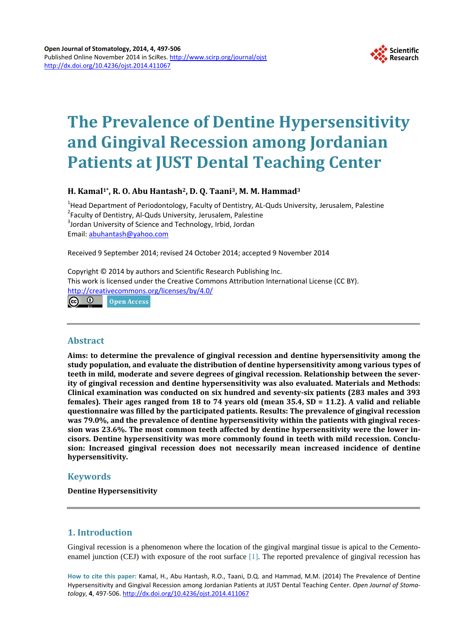

# **The Prevalence of Dentine Hypersensitivity and Gingival Recession among Jordanian Patients at JUST Dental Teaching Center**

## **H. Kamal1\*, R. O. Abu Hantash2, D. Q. Taani3, M. M. Hammad3**

<sup>1</sup>Head Department of Periodontology, Faculty of Dentistry, AL-Quds University, Jerusalem, Palestine<br><sup>2</sup>Faculty of Dentistry, Al-Quds University, Jerusalem, Palestine <sup>2</sup> Faculty of Dentistry, Al-Quds University, Jerusalem, Palestine <sup>3</sup> Jordan University of Science and Technology, Irbid, Jordan Email: [abuhantash@yahoo.com](mailto:abuhantash@yahoo.com)

Received 9 September 2014; revised 24 October 2014; accepted 9 November 2014

Copyright © 2014 by authors and Scientific Research Publishing Inc. This work is licensed under the Creative Commons Attribution International License (CC BY). <http://creativecommons.org/licenses/by/4.0/> **©** ©

Open Access

## **Abstract**

**Aims: to determine the prevalence of gingival recession and dentine hypersensitivity among the study population, and evaluate the distribution of dentine hypersensitivity among various types of teeth in mild, moderate and severe degrees of gingival recession. Relationship between the severity of gingival recession and dentine hypersensitivity was also evaluated. Materials and Methods: Clinical examination was conducted on six hundred and seventy-six patients (283 males and 393 females). Their ages ranged from 18 to 74 years old (mean 35.4, SD = 11.2). A valid and reliable questionnaire was filled by the participated patients. Results: The prevalence of gingival recession was 79.0%, and the prevalence of dentine hypersensitivity within the patients with gingival recession was 23.6%. The most common teeth affected by dentine hypersensitivity were the lower incisors. Dentine hypersensitivity was more commonly found in teeth with mild recession. Conclusion: Increased gingival recession does not necessarily mean increased incidence of dentine hypersensitivity.**

## **Keywords**

**Dentine Hypersensitivity**

# **1. Introduction**

Gingival recession is a phenomenon where the location of the gingival marginal tissue is apical to the Cementoenamel junction (CEJ) with exposure of the root surface [\[1\].](#page-5-0) The reported prevalence of gingival recession has

**How to cite this paper:** Kamal, H., Abu Hantash, R.O., Taani, D.Q. and Hammad, M.M. (2014) The Prevalence of Dentine Hypersensitivity and Gingival Recession among Jordanian Patients at JUST Dental Teaching Center. *Open Journal of Stomatology*, **4**, 497-506. <http://dx.doi.org/10.4236/ojst.2014.411067>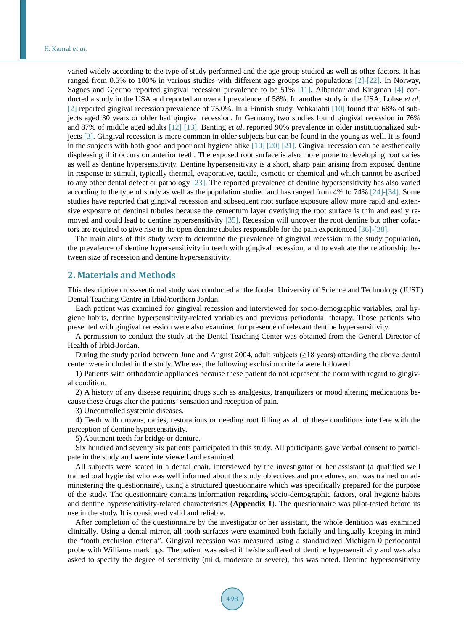varied widely according to the type of study performed and the age group studied as well as other factors. It has ranged from 0.5% to 100% in various studies with different age groups and populations [\[2\]-](#page-5-1)[\[22\].](#page-6-0) In Norway, Sagnes and Gjermo reported gingival recession prevalence to be 51% [\[11\].](#page-5-2) Albandar and Kingman [\[4\]](#page-5-3) conducted a study in the USA and reported an overall prevalence of 58%. In another study in the USA, Lohse *et al*. [\[2\]](#page-5-1) reported gingival recession prevalence of 75.0%. In a Finnish study, Vehkalahti [\[10\]](#page-5-4) found that 68% of subjects aged 30 years or older had gingival recession. In Germany, two studies found gingival recession in 76% and 87% of middle aged adults [\[12\]](#page-5-5) [\[13\].](#page-6-1) Banting *et al*. reported 90% prevalence in older institutionalized subjects [\[3\].](#page-5-6) Gingival recession is more common in older subjects but can be found in the young as well. It is found in the subjects with both good and poor oral hygiene alike [\[10\]](#page-5-4) [\[20\]](#page-6-2) [\[21\].](#page-6-3) Gingival recession can be aesthetically displeasing if it occurs on anterior teeth. The exposed root surface is also more prone to developing root caries as well as dentine hypersensitivity. Dentine hypersensitivity is a short, sharp pain arising from exposed dentine in response to stimuli, typically thermal, evaporative, tactile, osmotic or chemical and which cannot be ascribed to any other dental defect or pathology [\[23\].](#page-6-4) The reported prevalence of dentine hypersensitivity has also varied according to the type of study as well as the population studied and has ranged from 4% to 74% [\[24\]](#page-6-5)[-\[34\].](#page-6-6) Some studies have reported that gingival recession and subsequent root surface exposure allow more rapid and extensive exposure of dentinal tubules because the cementum layer overlying the root surface is thin and easily removed and could lead to dentine hypersensitivity [\[35\].](#page-6-7) Recession will uncover the root dentine but other cofactors are required to give rise to the open dentine tubules responsible for the pain experienced [\[36\]](#page-6-8)[-\[38\].](#page-7-0)

The main aims of this study were to determine the prevalence of gingival recession in the study population, the prevalence of dentine hypersensitivity in teeth with gingival recession, and to evaluate the relationship between size of recession and dentine hypersensitivity.

#### **2. Materials and Methods**

This descriptive cross-sectional study was conducted at the Jordan University of Science and Technology (JUST) Dental Teaching Centre in Irbid/northern Jordan.

Each patient was examined for gingival recession and interviewed for socio-demographic variables, oral hygiene habits, dentine hypersensitivity-related variables and previous periodontal therapy. Those patients who presented with gingival recession were also examined for presence of relevant dentine hypersensitivity.

A permission to conduct the study at the Dental Teaching Center was obtained from the General Director of Health of Irbid-Jordan.

During the study period between June and August 2004, adult subjects ( $\geq$ 18 years) attending the above dental center were included in the study. Whereas, the following exclusion criteria were followed:

1) Patients with orthodontic appliances because these patient do not represent the norm with regard to gingival condition.

2) A history of any disease requiring drugs such as analgesics, tranquilizers or mood altering medications because these drugs alter the patients' sensation and reception of pain.

3) Uncontrolled systemic diseases.

4) Teeth with crowns, caries, restorations or needing root filling as all of these conditions interfere with the perception of dentine hypersensitivity.

5) Abutment teeth for bridge or denture.

Six hundred and seventy six patients participated in this study. All participants gave verbal consent to participate in the study and were interviewed and examined.

All subjects were seated in a dental chair, interviewed by the investigator or her assistant (a qualified well trained oral hygienist who was well informed about the study objectives and procedures, and was trained on administering the questionnaire), using a structured questionnaire which was specifically prepared for the purpose of the study. The questionnaire contains information regarding socio-demographic factors, oral hygiene habits and dentine hypersensitivity-related characteristics (**Appendix 1**). The questionnaire was pilot-tested before its use in the study. It is considered valid and reliable.

After completion of the questionnaire by the investigator or her assistant, the whole dentition was examined clinically. Using a dental mirror, all tooth surfaces were examined both facially and lingually keeping in mind the "tooth exclusion criteria". Gingival recession was measured using a standardized Michigan 0 periodontal probe with Williams markings. The patient was asked if he/she suffered of dentine hypersensitivity and was also asked to specify the degree of sensitivity (mild, moderate or severe), this was noted. Dentine hypersensitivity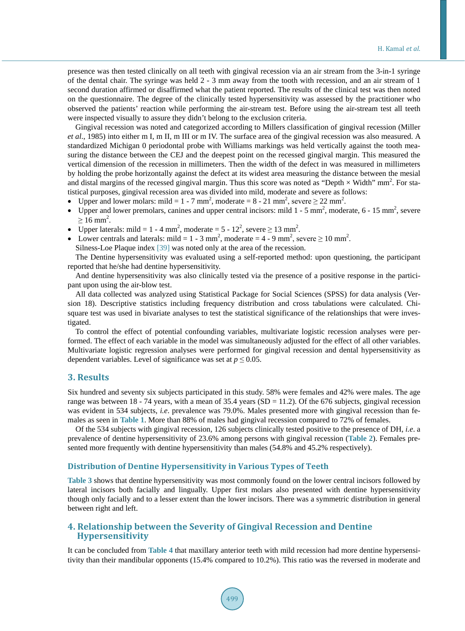presence was then tested clinically on all teeth with gingival recession via an air stream from the 3-in-1 syringe of the dental chair. The syringe was held 2 - 3 mm away from the tooth with recession, and an air stream of 1 second duration affirmed or disaffirmed what the patient reported. The results of the clinical test was then noted on the questionnaire. The degree of the clinically tested hypersensitivity was assessed by the practitioner who observed the patients' reaction while performing the air-stream test. Before using the air-stream test all teeth were inspected visually to assure they didn't belong to the exclusion criteria.

Gingival recession was noted and categorized according to Millers classification of gingival recession (Miller *et al*., 1985) into either m I, m II, m III or m IV. The surface area of the gingival recession was also measured. A standardized Michigan 0 periodontal probe with Williams markings was held vertically against the tooth measuring the distance between the CEJ and the deepest point on the recessed gingival margin. This measured the vertical dimension of the recession in millimeters. Then the width of the defect in was measured in millimeters by holding the probe horizontally against the defect at its widest area measuring the distance between the mesial and distal margins of the recessed gingival margin. Thus this score was noted as "Depth  $\times$  Width" mm<sup>2</sup>. For statistical purposes, gingival recession area was divided into mild, moderate and severe as follows:

- Upper and lower molars: mild =  $1 7$  mm<sup>2</sup>, moderate =  $8 21$  mm<sup>2</sup>, severe  $\geq 22$  mm<sup>2</sup>.
- Upper and lower premolars, canines and upper central incisors: mild  $1 5$  mm<sup>2</sup>, moderate,  $6 15$  mm<sup>2</sup>, severe  $\geq 16$  mm<sup>2</sup>.
- Upper laterals: mild = 1 4 mm<sup>2</sup>, moderate = 5 12<sup>2</sup>, severe  $\geq$  13 mm<sup>2</sup>.
- Lower centrals and laterals: mild =  $1 3$  mm<sup>2</sup>, moderate =  $4 9$  mm<sup>2</sup>, severe  $\geq 10$  mm<sup>2</sup>.

Silness-Loe Plaque index [\[39\]](#page-7-1) was noted only at the area of the recession.

The Dentine hypersensitivity was evaluated using a self-reported method: upon questioning, the participant reported that he/she had dentine hypersensitivity.

And dentine hypersensitivity was also clinically tested via the presence of a positive response in the participant upon using the air-blow test.

All data collected was analyzed using Statistical Package for Social Sciences (SPSS) for data analysis (Version 18). Descriptive statistics including frequency distribution and cross tabulations were calculated. Chisquare test was used in bivariate analyses to test the statistical significance of the relationships that were investigated.

To control the effect of potential confounding variables, multivariate logistic recession analyses were performed. The effect of each variable in the model was simultaneously adjusted for the effect of all other variables. Multivariate logistic regression analyses were performed for gingival recession and dental hypersensitivity as dependent variables. Level of significance was set at  $p \leq 0.05$ .

#### **3. Results**

Six hundred and seventy six subjects participated in this study. 58% were females and 42% were males. The age range was between 18 - 74 years, with a mean of  $35.4$  years (SD = 11.2). Of the 676 subjects, gingival recession was evident in 534 subjects, *i.e.* prevalence was 79.0%. Males presented more with gingival recession than females as seen in **[Table 1](#page-3-0)**. More than 88% of males had gingival recession compared to 72% of females.

Of the 534 subjects with gingival recession, 126 subjects clinically tested positive to the presence of DH, *i.e*. a prevalence of dentine hypersensitivity of 23.6% among persons with gingival recession (**[Table 2](#page-3-1)**). Females presented more frequently with dentine hypersensitivity than males (54.8% and 45.2% respectively).

#### **Distribution of Dentine Hypersensitivity in Various Types of Teeth**

**[Table 3](#page-3-2)** shows that dentine hypersensitivity was most commonly found on the lower central incisors followed by lateral incisors both facially and lingually. Upper first molars also presented with dentine hypersensitivity though only facially and to a lesser extent than the lower incisors. There was a symmetric distribution in general between right and left.

### **4. Relationship between the Severity of Gingival Recession and Dentine Hypersensitivity**

It can be concluded from **[Table 4](#page-4-0)** that maxillary anterior teeth with mild recession had more dentine hypersensitivity than their mandibular opponents (15.4% compared to 10.2%). This ratio was the reversed in moderate and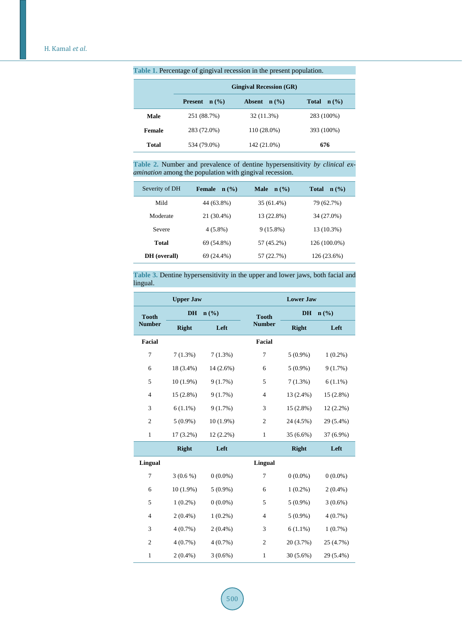|               | <b>Gingival Recession (GR)</b> |                                   |                                  |  |  |  |  |  |  |  |
|---------------|--------------------------------|-----------------------------------|----------------------------------|--|--|--|--|--|--|--|
|               | <b>Present</b> $n$ (%)         | <b>Absent</b><br>$\mathbf{n}(\%)$ | <b>Total</b><br>$\mathbf{n}(\%)$ |  |  |  |  |  |  |  |
| Male          | 251 (88.7%)                    | 32 (11.3%)                        | 283 (100%)                       |  |  |  |  |  |  |  |
| <b>Female</b> | 283 (72.0%)                    | 110 (28.0%)                       | 393 (100%)                       |  |  |  |  |  |  |  |
| Total         | 534 (79.0%)                    | 142 (21.0%)                       | 676                              |  |  |  |  |  |  |  |

<span id="page-3-0"></span>**Table 1.** Percentage of gingival recession in the present population.

<span id="page-3-1"></span>**Table 2.** Number and prevalence of dentine hypersensitivity *by clinical examination* among the population with gingival recession.

| Severity of DH | <b>Female</b><br>$n$ (%) | <b>Male</b><br>$\mathbf{n}(\%)$ | Total<br>$\mathbf{n}(\%)$ |
|----------------|--------------------------|---------------------------------|---------------------------|
| Mild           | 44 (63.8%)               | 35 (61.4%)                      | 79 (62.7%)                |
| Moderate       | 21 (30.4%)               | 13 (22.8%)                      | 34 (27.0%)                |
| Severe         | $4(5.8\%)$               | $9(15.8\%)$                     | 13 (10.3%)                |
| Total          | 69 (54.8%)               | 57 (45.2%)                      | 126 (100.0%)              |
| DH (overall)   | 69 (24.4%)               | 57 (22.7%)                      | 126 (23.6%)               |

<span id="page-3-2"></span>**Table 3.** Dentine hypersensitivity in the upper and lower jaws, both facial and lingual.

|                | <b>Upper Jaw</b> |             | <b>Lower Jaw</b> |                   |             |  |  |  |
|----------------|------------------|-------------|------------------|-------------------|-------------|--|--|--|
| <b>Tooth</b>   | DH               | n(%)        | <b>Tooth</b>     | <b>DH</b><br>n(%) |             |  |  |  |
| <b>Number</b>  | <b>Right</b>     | Left        | <b>Number</b>    | <b>Right</b>      | Left        |  |  |  |
| <b>Facial</b>  |                  |             | <b>Facial</b>    |                   |             |  |  |  |
| $\tau$         | $7(1.3\%)$       | 7(1.3%)     | 7                | $5(0.9\%)$        | $1(0.2\%)$  |  |  |  |
| 6              | 18 (3.4%)        | $14(2.6\%)$ | 6                | $5(0.9\%)$        | 9(1.7%)     |  |  |  |
| 5              | $10(1.9\%)$      | 9(1.7%)     | 5                | $7(1.3\%)$        | $6(1.1\%)$  |  |  |  |
| $\overline{4}$ | 15 (2.8%)        | 9(1.7%)     | $\overline{4}$   | 13 (2.4%)         | 15 (2.8%)   |  |  |  |
| 3              | $6(1.1\%)$       | 9(1.7%)     | 3                | 15 (2.8%)         | $12(2.2\%)$ |  |  |  |
| $\overline{c}$ | $5(0.9\%)$       | $10(1.9\%)$ | $\mathfrak{2}$   | 24 (4.5%)         | 29 (5.4%)   |  |  |  |
| $\mathbf{1}$   | $17(3.2\%)$      | $12(2.2\%)$ | $\mathbf{1}$     | 35 (6.6%)         | 37 (6.9%)   |  |  |  |
|                | <b>Right</b>     | Left        |                  | <b>Right</b>      | Left        |  |  |  |
| <b>Lingual</b> |                  |             | Lingual          |                   |             |  |  |  |
| 7              | $3(0.6\%)$       | $0(0.0\%)$  | 7                | $0(0.0\%)$        | $0(0.0\%)$  |  |  |  |
| 6              | $10(1.9\%)$      | $5(0.9\%)$  | 6                | $1(0.2\%)$        | $2(0.4\%)$  |  |  |  |
| 5              | $1(0.2\%)$       | $0(0.0\%)$  | 5                | $5(0.9\%)$        | $3(0.6\%)$  |  |  |  |
| $\overline{4}$ | $2(0.4\%)$       | $1(0.2\%)$  | 4                | $5(0.9\%)$        | $4(0.7\%)$  |  |  |  |
| 3              | $4(0.7\%)$       | $2(0.4\%)$  | 3                | $6(1.1\%)$        | $1(0.7\%)$  |  |  |  |
| $\overline{c}$ | $4(0.7\%)$       | $4(0.7\%)$  | $\mathfrak{2}$   | 20 (3.7%)         | 25 (4.7%)   |  |  |  |
| $\mathbf{1}$   | $2(0.4\%)$       | $3(0.6\%)$  | $\mathbf{1}$     | 30(5.6%)          | 29 (5.4%)   |  |  |  |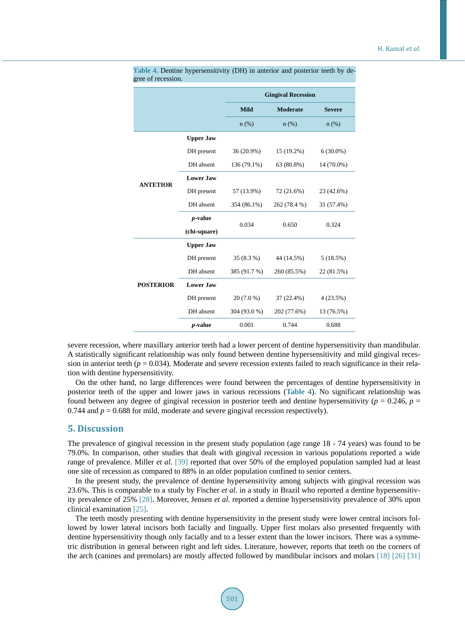|                  |                  |              | <b>Gingival Recession</b> |               |  |
|------------------|------------------|--------------|---------------------------|---------------|--|
|                  |                  | <b>Mild</b>  | <b>Moderate</b>           | <b>Severe</b> |  |
|                  |                  | $n$ (%)      | $n$ (%)                   | $n$ (%)       |  |
|                  | <b>Upper Jaw</b> |              |                           |               |  |
|                  | DH present       | 36 (20.9%)   | 15 (19.2%)                | $6(30.0\%)$   |  |
|                  | DH absent        | 136 (79.1%)  | 63 (80.8%)                | 14 (70.0%)    |  |
|                  | <b>Lower Jaw</b> |              |                           |               |  |
| <b>ANTETIOR</b>  | DH present       | 57 (13.9%)   | 72 (21.6%)                | 23 (42.6%)    |  |
|                  | DH absent        | 354 (86.1%)  | 262 (78.4 %)              | 31 (57.4%)    |  |
|                  | <i>p</i> -value  | 0.034        | 0.650                     | 0.324         |  |
|                  | (chi-square)     |              |                           |               |  |
|                  | <b>Upper Jaw</b> |              |                           |               |  |
|                  | DH present       | 35 (8.3 %)   | 44 (14.5%)                | 5(18.5%)      |  |
|                  | DH absent        | 385 (91.7 %) | 260 (85.5%)               | 22 (81.5%)    |  |
| <b>POSTERIOR</b> | <b>Lower Jaw</b> |              |                           |               |  |
|                  | DH present       | 20 (7.0 %)   | 37 (22.4%)                | 4(23.5%)      |  |
|                  | DH absent        | 304 (93.0 %) | 202 (77.6%)               | 13 (76.5%)    |  |
|                  | <i>p</i> -value  | 0.001        | 0.744                     | 0.688         |  |

<span id="page-4-0"></span>**Table 4.** Dentine hypersensitivity (DH) in anterior and posterior teeth by degree of recession.

severe recession, where maxillary anterior teeth had a lower percent of dentine hypersensitivity than mandibular. A statistically significant relationship was only found between dentine hypersensitivity and mild gingival recession in anterior teeth (*p* = 0.034). Moderate and severe recession extents failed to reach significance in their relation with dentine hypersensitivity.

On the other hand, no large differences were found between the percentages of dentine hypersensitivity in posterior teeth of the upper and lower jaws in various recessions (**[Table 4](#page-4-0)**). No significant relationship was found between any degree of gingival recession in posterior teeth and dentine hypersensitivity ( $p = 0.246$ ,  $p =$ 0.744 and  $p = 0.688$  for mild, moderate and severe gingival recession respectively).

#### **5. Discussion**

The prevalence of gingival recession in the present study population (age range 18 - 74 years) was found to be 79.0%. In comparison, other studies that dealt with gingival recession in various populations reported a wide range of prevalence. Miller *et al*. [\[39\]](#page-7-1) reported that over 50% of the employed population sampled had at least one site of recession as compared to 88% in an older population confined to senior centers.

In the present study, the prevalence of dentine hypersensitivity among subjects with gingival recession was 23.6%. This is comparable to a study by Fischer *et al*. in a study in Brazil who reported a dentine hypersensitivity prevalence of 25% [\[28\].](#page-6-9) Moreover, Jensen *et al*. reported a dentine hypersensitivity prevalence of 30% upon clinical examinatio[n \[25\].](#page-6-10)

The teeth mostly presenting with dentine hypersensitivity in the present study were lower central incisors followed by lower lateral incisors both facially and lingually. Upper first molars also presented frequently with dentine hypersensitivity though only facially and to a lesser extent than the lower incisors. There was a symmetric distribution in general between right and left sides. Literature, however, reports that teeth on the corners of the arch (canines and premolars) are mostly affected followed by mandibular incisors and molars [\[18\]](#page-6-11) [\[26\]](#page-6-12) [\[31\]](#page-6-13)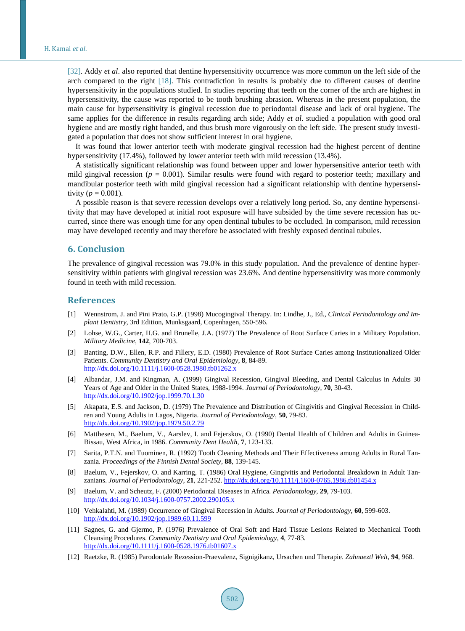[\[32\].](#page-6-14) Addy *et al.* also reported that dentine hypersensitivity occurrence was more common on the left side of the arch compared to the right [\[18\].](#page-6-11) This contradiction in results is probably due to different causes of dentine hypersensitivity in the populations studied. In studies reporting that teeth on the corner of the arch are highest in hypersensitivity, the cause was reported to be tooth brushing abrasion. Whereas in the present population, the main cause for hypersensitivity is gingival recession due to periodontal disease and lack of oral hygiene. The same applies for the difference in results regarding arch side; Addy *et al*. studied a population with good oral hygiene and are mostly right handed, and thus brush more vigorously on the left side. The present study investigated a population that does not show sufficient interest in oral hygiene.

It was found that lower anterior teeth with moderate gingival recession had the highest percent of dentine hypersensitivity (17.4%), followed by lower anterior teeth with mild recession (13.4%).

A statistically significant relationship was found between upper and lower hypersensitive anterior teeth with mild gingival recession ( $p = 0.001$ ). Similar results were found with regard to posterior teeth; maxillary and mandibular posterior teeth with mild gingival recession had a significant relationship with dentine hypersensitivity ( $p = 0.001$ ).

A possible reason is that severe recession develops over a relatively long period. So, any dentine hypersensitivity that may have developed at initial root exposure will have subsided by the time severe recession has occurred, since there was enough time for any open dentinal tubules to be occluded. In comparison, mild recession may have developed recently and may therefore be associated with freshly exposed dentinal tubules.

## **6. Conclusion**

The prevalence of gingival recession was 79.0% in this study population. And the prevalence of dentine hypersensitivity within patients with gingival recession was 23.6%. And dentine hypersensitivity was more commonly found in teeth with mild recession.

#### **References**

- <span id="page-5-0"></span>[1] Wennstrom, J. and Pini Prato, G.P. (1998) Mucogingival Therapy. In: Lindhe, J., Ed., *Clinical Periodontology and Implant Dentistry*, 3rd Edition, Munksgaard, Copenhagen, 550-596.
- <span id="page-5-1"></span>[2] Lohse, W.G., Carter, H.G. and Brunelle, J.A. (1977) The Prevalence of Root Surface Caries in a Military Population. *Military Medicine*, **142**, 700-703.
- <span id="page-5-6"></span>[3] Banting, D.W., Ellen, R.P. and Fillery, E.D. (1980) Prevalence of Root Surface Caries among Institutionalized Older Patients. *Community Dentistry and Oral Epidemiology*, **8**, 84-89. <http://dx.doi.org/10.1111/j.1600-0528.1980.tb01262.x>
- <span id="page-5-3"></span>[4] Albandar, J.M. and Kingman, A. (1999) Gingival Recession, Gingival Bleeding, and Dental Calculus in Adults 30 Years of Age and Older in the United States, 1988-1994. *Journal of Periodontology*, **70**, 30-43. <http://dx.doi.org/10.1902/jop.1999.70.1.30>
- [5] Akapata, E.S. and Jackson, D. (1979) The Prevalence and Distribution of Gingivitis and Gingival Recession in Children and Young Adults in Lagos, Nigeria. *Journal of Periodontology*, **50**, 79-83. <http://dx.doi.org/10.1902/jop.1979.50.2.79>
- [6] Matthesen, M., Baelum, V., Aarslev, I. and Fejerskov, O. (1990) Dental Health of Children and Adults in Guinea-Bissau, West Africa, in 1986. *Community Dent Health*, **7**, 123-133.
- [7] Sarita, P.T.N. and Tuominen, R. (1992) Tooth Cleaning Methods and Their Effectiveness among Adults in Rural Tanzania. *Proceedings of the Finnish Dental Society*, **88**, 139-145.
- [8] Baelum, V., Fejerskov, O. and Karring, T. (1986) Oral Hygiene, Gingivitis and Periodontal Breakdown in Adult Tanzanians. *Journal of Periodontology*, **21**, 221-252. <http://dx.doi.org/10.1111/j.1600-0765.1986.tb01454.x>
- [9] Baelum, V. and Scheutz, F. (2000) Periodontal Diseases in Africa. *Periodontology*, **29**, 79-103. <http://dx.doi.org/10.1034/j.1600-0757.2002.290105.x>
- <span id="page-5-4"></span>[10] Vehkalahti, M. (1989) Occurrence of Gingival Recession in Adults. *Journal of Periodontology*, **60**, 599-603. <http://dx.doi.org/10.1902/jop.1989.60.11.599>
- <span id="page-5-2"></span>[11] Sagnes, G. and Gjermo, P. (1976) Prevalence of Oral Soft and Hard Tissue Lesions Related to Mechanical Tooth Cleansing Procedures. *Community Dentistry and Oral Epidemiology*, **4**, 77-83. <http://dx.doi.org/10.1111/j.1600-0528.1976.tb01607.x>
- <span id="page-5-5"></span>[12] Raetzke, R. (1985) Parodontale Rezession-Praevalenz, Signigikanz, Ursachen und Therapie. *Zahnaeztl Welt*, **94**, 968.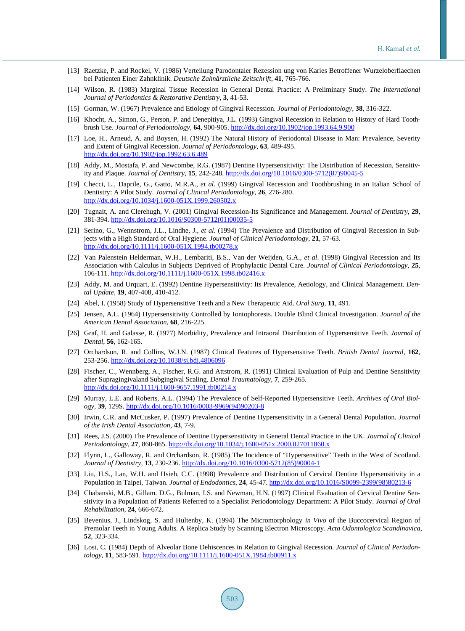- <span id="page-6-1"></span>[13] Raetzke, P. and Rockel, V. (1986) Verteilung Parodontaler Rezession ung von Karies Betroffener Wurzeloberflaechen bei Patienten Einer Zahnklinik. *Deutsche Zahnärztliche Zeitschrift*, **41**, 765-766.
- [14] Wilson, R. (1983) Marginal Tissue Recession in General Dental Practice: A Preliminary Study. *The International Journal of Periodontics & Restorative Dentistry*, **3**, 41-53.
- [15] Gorman, W. (1967) Prevalence and Etiology of Gingival Recession. *Journal of Periodontology*, **38**, 316-322.
- [16] Khocht, A., Simon, G., Person, P. and Denepitiya, J.L. (1993) Gingival Recession in Relation to History of Hard Toothbrush Use. *Journal of Periodontology*, **64**, 900-905. <http://dx.doi.org/10.1902/jop.1993.64.9.900>
- [17] Loe, H., Arneud, A. and Boysen, H. (1992) The Natural History of Periodontal Disease in Man: Prevalence, Severity and Extent of Gingival Recession. *Journal of Periodontology*, **63**, 489-495. <http://dx.doi.org/10.1902/jop.1992.63.6.489>
- <span id="page-6-11"></span>[18] Addy, M., Mostafa, P. and Newcombe, R.G. (1987) Dentine Hypersensitivity: The Distribution of Recession, Sensitivity and Plaque. *Journal of Dentistry*, **15**, 242-248. [http://dx.doi.org/10.1016/0300-5712\(87\)90045-5](http://dx.doi.org/10.1016/0300-5712(87)90045-5)
- [19] Checci, L., Daprile, G., Gatto, M.R.A., *et al*. (1999) Gingival Recession and Toothbrushing in an Italian School of Dentistry: A Pilot Study. *Journal of Clinical Periodontology*, **26**, 276-280. <http://dx.doi.org/10.1034/j.1600-051X.1999.260502.x>
- <span id="page-6-2"></span>[20] Tugnait, A. and Clerehugh, V. (2001) Gingival Recession-Its Significance and Management. *Journal of Dentistry*, **29**, 381-394. [http://dx.doi.org/10.1016/S0300-5712\(01\)00035-5](http://dx.doi.org/10.1016/S0300-5712(01)00035-5)
- <span id="page-6-3"></span>[21] Serino, G., Wennstrom, J.L., Lindhe, J., *et al*. (1994) The Prevalence and Distribution of Gingival Recession in Subjects with a High Standard of Oral Hygiene. *Journal of Clinical Periodontology*, **21**, 57-63. <http://dx.doi.org/10.1111/j.1600-051X.1994.tb00278.x>
- <span id="page-6-0"></span>[22] Van Palenstein Helderman, W.H., Lembariti, B.S., Van der Weijden, G.A., *et al*. (1998) Gingival Recession and Its Association with Calculus in Subjects Deprived of Prophylactic Dental Care. *Journal of Clinical Periodontology*, **25**, 106-111. <http://dx.doi.org/10.1111/j.1600-051X.1998.tb02416.x>
- <span id="page-6-4"></span>[23] Addy, M. and Urquart, E. (1992) Dentine Hypersensitivity: Its Prevalence, Aetiology, and Clinical Management. *Dental Update*, **19**, 407-408, 410-412.
- <span id="page-6-5"></span>[24] Abel, I. (1958) Study of Hypersensitive Teeth and a New Therapeutic Aid. *Oral Surg*, **11**, 491.
- <span id="page-6-10"></span>[25] Jensen, A.L. (1964) Hypersensitivity Controlled by Iontophoresis. Double Blind Clinical Investigation. *Journal of the American Dental Association*, **68**, 216-225.
- <span id="page-6-12"></span>[26] Graf, H. and Galasse, R. (1977) Morbidity, Prevalence and Intraoral Distribution of Hypersensitive Teeth. *Journal of Dental*, **56**, 162-165.
- [27] Orchardson, R. and Collins, W.J.N. (1987) Clinical Features of Hypersensitive Teeth. *British Dental Journal*, **162**, 253-256. <http://dx.doi.org/10.1038/sj.bdj.4806096>
- <span id="page-6-9"></span>[28] Fischer, C., Wennberg, A., Fischer, R.G. and Attstrom, R. (1991) Clinical Evaluation of Pulp and Dentine Sensitivity after Supragingivaland Subgingival Scaling. *Dental Traumatology*, **7**, 259-265. <http://dx.doi.org/10.1111/j.1600-9657.1991.tb00214.x>
- [29] Murray, L.E. and Roberts, A.L. (1994) The Prevalence of Self-Reported Hypersensitive Teeth. *Archives of Oral Biology*, **39**, 129S. [http://dx.doi.org/10.1016/0003-9969\(94\)90203-8](http://dx.doi.org/10.1016/0003-9969(94)90203-8)
- [30] Irwin, C.R. and McCusker, P. (1997) Prevalence of Dentine Hypersensitivity in a General Dental Population. *Journal of the Irish Dental Association*, **43**, 7-9.
- <span id="page-6-13"></span>[31] Rees, J.S. (2000) The Prevalence of Dentine Hypersensitivity in General Dental Practice in the UK. *Journal of Clinical Periodontology*, **27**, 860-865. <http://dx.doi.org/10.1034/j.1600-051x.2000.027011860.x>
- <span id="page-6-14"></span>[32] Flynn, L., Galloway, R. and Orchardson, R. (1985) The Incidence of "Hypersensitive" Teeth in the West of Scotland. *Journal of Dentistry*, **13**, 230-236. [http://dx.doi.org/10.1016/0300-5712\(85\)90004-1](http://dx.doi.org/10.1016/0300-5712(85)90004-1)
- [33] Liu, H.S., Lan, W.H. and Hsieh, C.C. (1998) Prevalence and Distribution of Cervical Dentine Hypersensitivity in a Population in Taipei, Taiwan. *Journal of Endodontics*, **24**, 45-47. [http://dx.doi.org/10.1016/S0099-2399\(98\)80213-6](http://dx.doi.org/10.1016/S0099-2399(98)80213-6)
- <span id="page-6-6"></span>[34] Chabanski, M.B., Gillam. D.G., Bulman, I.S. and Newman, H.N. (1997) Clinical Evaluation of Cervical Dentine Sensitivity in a Population of Patients Referred to a Specialist Periodontology Department: A Pilot Study. *Journal of Oral Rehabilitation*, **24**, 666-672.
- <span id="page-6-7"></span>[35] Bevenius, J., Lindskog, S. and Hultenby, K. (1994) The Micromorphology *in Vivo* of the Buccocervical Region of Premolar Teeth in Young Adults. A Replica Study by Scanning Electron Microscopy. *Acta Odontologica Scandinavica*, **52**, 323-334.
- <span id="page-6-8"></span>[36] Lost, C. (1984) Depth of Alveolar Bone Dehiscences in Relation to Gingival Recession. *Journal of Clinical Periodontology*, **11**, 583-591. <http://dx.doi.org/10.1111/j.1600-051X.1984.tb00911.x>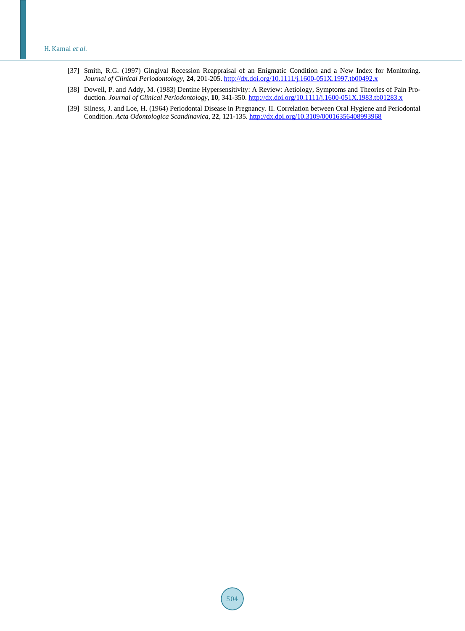#### H. Kamal *et al*.

- [37] Smith, R.G. (1997) Gingival Recession Reappraisal of an Enigmatic Condition and a New Index for Monitoring. *Journal of Clinical Periodontology*, **24**, 201-205. <http://dx.doi.org/10.1111/j.1600-051X.1997.tb00492.x>
- <span id="page-7-0"></span>[38] Dowell, P. and Addy, M. (1983) Dentine Hypersensitivity: A Review: Aetiology, Symptoms and Theories of Pain Production. *Journal of Clinical Periodontology*, **10**, 341-350. <http://dx.doi.org/10.1111/j.1600-051X.1983.tb01283.x>
- <span id="page-7-1"></span>[39] Silness, J. and Loe, H. (1964) Periodontal Disease in Pregnancy. II. Correlation between Oral Hygiene and Periodontal Condition. *Acta Odontologica Scandinavica*, **22**, 121-135. <http://dx.doi.org/10.3109/00016356408993968>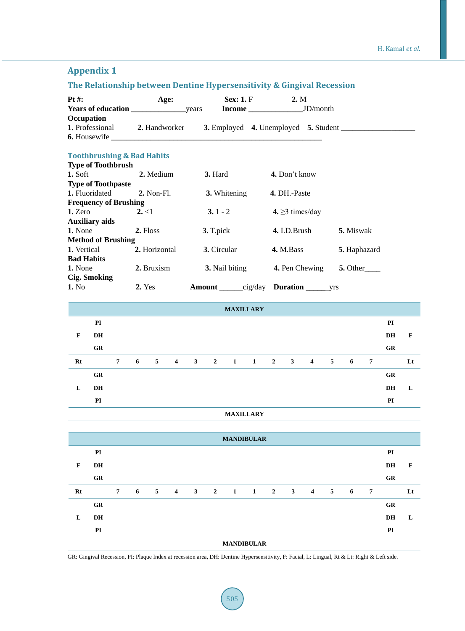# **Appendix 1**

# **The Relationship between Dentine Hypersensitivity & Gingival Recession**

| Pt #:       |                                       |                |        | Age:          |                |             |                | <b>Sex: 1. F</b> |                   |              | 2. M          |                             |   |                           |                |    |             |
|-------------|---------------------------------------|----------------|--------|---------------|----------------|-------------|----------------|------------------|-------------------|--------------|---------------|-----------------------------|---|---------------------------|----------------|----|-------------|
|             | Occupation                            |                |        |               |                |             |                |                  |                   |              |               |                             |   |                           |                |    |             |
|             | 1. Professional                       |                |        |               | 2. Handworker  |             |                |                  |                   |              |               |                             |   |                           |                |    |             |
|             | <b>6.</b> Housewife                   |                |        |               |                |             |                |                  |                   |              |               |                             |   |                           |                |    |             |
|             | <b>Toothbrushing &amp; Bad Habits</b> |                |        |               |                |             |                |                  |                   |              |               |                             |   |                           |                |    |             |
|             | <b>Type of Toothbrush</b>             |                |        |               |                |             |                |                  |                   |              |               |                             |   |                           |                |    |             |
| 1. Soft     |                                       |                |        | 2. Medium     |                |             | 3. Hard        |                  |                   |              | 4. Don't know |                             |   |                           |                |    |             |
|             | <b>Type of Toothpaste</b>             |                |        |               |                |             |                |                  |                   |              |               |                             |   |                           |                |    |             |
|             | 1. Fluoridated                        |                |        | 2. Non-Fl.    |                |             |                | 3. Whitening     |                   |              | 4. DH.-Paste  |                             |   |                           |                |    |             |
|             | <b>Frequency of Brushing</b>          |                |        |               |                |             |                |                  |                   |              |               |                             |   |                           |                |    |             |
| 1. Zero     |                                       |                | 2, < 1 |               |                |             | $3.1 - 2$      |                  |                   |              |               | 4. $\geq$ 3 times/day       |   |                           |                |    |             |
|             | <b>Auxiliary aids</b>                 |                |        |               |                |             |                |                  |                   |              |               |                             |   |                           |                |    |             |
| 1. None     |                                       |                |        | 2. Floss      |                |             | 3. T.pick      |                  |                   |              | 4. I.D.Brush  |                             |   | 5. Miswak                 |                |    |             |
|             | <b>Method of Brushing</b>             |                |        |               |                |             |                |                  |                   |              |               |                             |   |                           |                |    |             |
| 1. Vertical |                                       |                |        | 2. Horizontal |                |             | 3. Circular    |                  |                   |              | 4. M.Bass     |                             |   | 5. Haphazard              |                |    |             |
|             | <b>Bad Habits</b>                     |                |        |               |                |             |                |                  |                   |              |               |                             |   |                           |                |    |             |
| 1. None     |                                       |                |        | 2. Bruxism    |                |             |                | 3. Nail biting   |                   |              |               | 4. Pen Chewing              |   | $5. Other$ <sub>___</sub> |                |    |             |
|             | <b>Cig. Smoking</b>                   |                |        |               |                |             |                |                  |                   |              |               |                             |   |                           |                |    |             |
| 1. No       |                                       |                | 2. Yes |               |                |             |                |                  |                   |              |               | Amount cig/day Duration yrs |   |                           |                |    |             |
|             |                                       |                |        |               |                |             |                |                  |                   |              |               |                             |   |                           |                |    |             |
|             |                                       |                |        |               |                |             |                |                  | <b>MAXILLARY</b>  |              |               |                             |   |                           |                |    |             |
|             | PI                                    |                |        |               |                |             |                |                  |                   |              |               |                             |   |                           |                | PI |             |
| $\mathbf F$ | <b>DH</b>                             |                |        |               |                |             |                |                  |                   |              |               |                             |   |                           |                | DH | $\mathbf F$ |
|             |                                       |                |        |               |                |             |                |                  |                   |              |               |                             |   |                           |                |    |             |
|             | GR                                    |                |        |               |                |             |                |                  |                   |              |               |                             |   |                           |                | GR |             |
| $Rt$        |                                       | $\overline{7}$ | 6      | 5             | $\overline{4}$ | $3^{\circ}$ | $\overline{2}$ | $\mathbf{1}$     | $\mathbf{1}$      | $\mathbf{2}$ | $\mathbf{3}$  | $\overline{4}$              | 5 | 6                         | $\overline{7}$ |    | Lt          |
|             | GR                                    |                |        |               |                |             |                |                  |                   |              |               |                             |   |                           |                | GR |             |
| L           | DH                                    |                |        |               |                |             |                |                  |                   |              |               |                             |   |                           |                | DH | L           |
|             |                                       |                |        |               |                |             |                |                  |                   |              |               |                             |   |                           |                |    |             |
|             | PI                                    |                |        |               |                |             |                |                  |                   |              |               |                             |   |                           |                | PI |             |
|             |                                       |                |        |               |                |             |                |                  | <b>MAXILLARY</b>  |              |               |                             |   |                           |                |    |             |
|             |                                       |                |        |               |                |             |                |                  |                   |              |               |                             |   |                           |                |    |             |
|             |                                       |                |        |               |                |             |                |                  | <b>MANDIBULAR</b> |              |               |                             |   |                           |                |    |             |
|             | PI                                    |                |        |               |                |             |                |                  |                   |              |               |                             |   |                           |                | PI |             |
| F           | DH                                    |                |        |               |                |             |                |                  |                   |              |               |                             |   |                           |                | DH | F           |
|             | GR                                    |                |        |               |                |             |                |                  |                   |              |               |                             |   |                           |                | GR |             |

| Rt |                   | 7 | $6\degree$ |  | 5 4 3 2 1 1 2 3 4 |  |  |  |  |  |  | 5 | $\overline{\phantom{0}}$ |    | Lt |
|----|-------------------|---|------------|--|-------------------|--|--|--|--|--|--|---|--------------------------|----|----|
|    | <b>GR</b>         |   |            |  |                   |  |  |  |  |  |  |   |                          | GR |    |
| L  | DH                |   |            |  |                   |  |  |  |  |  |  |   |                          | DH |    |
|    | PI                |   |            |  |                   |  |  |  |  |  |  |   |                          | PI |    |
|    | <b>MANDIBULAR</b> |   |            |  |                   |  |  |  |  |  |  |   |                          |    |    |

GR: Gingival Recession, PI: Plaque Index at recession area, DH: Dentine Hypersensitivity, F: Facial, L: Lingual, Rt & Lt: Right & Left side.